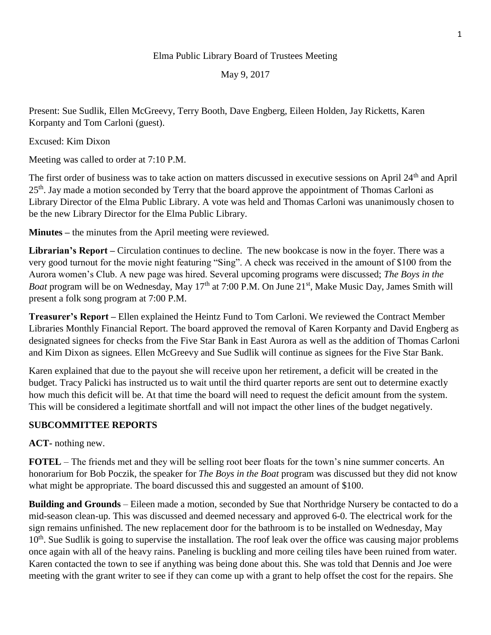## Elma Public Library Board of Trustees Meeting

May 9, 2017

Present: Sue Sudlik, Ellen McGreevy, Terry Booth, Dave Engberg, Eileen Holden, Jay Ricketts, Karen Korpanty and Tom Carloni (guest).

Excused: Kim Dixon

Meeting was called to order at 7:10 P.M.

The first order of business was to take action on matters discussed in executive sessions on April 24<sup>th</sup> and April 25<sup>th</sup>. Jav made a motion seconded by Terry that the board approve the appointment of Thomas Carloni as Library Director of the Elma Public Library. A vote was held and Thomas Carloni was unanimously chosen to be the new Library Director for the Elma Public Library.

**Minutes –** the minutes from the April meeting were reviewed.

**Librarian's Report –** Circulation continues to decline. The new bookcase is now in the foyer. There was a very good turnout for the movie night featuring "Sing". A check was received in the amount of \$100 from the Aurora women's Club. A new page was hired. Several upcoming programs were discussed; *The Boys in the Boat* program will be on Wednesday, May 17<sup>th</sup> at 7:00 P.M. On June 21<sup>st</sup>, Make Music Day, James Smith will present a folk song program at 7:00 P.M.

**Treasurer's Report –** Ellen explained the Heintz Fund to Tom Carloni. We reviewed the Contract Member Libraries Monthly Financial Report. The board approved the removal of Karen Korpanty and David Engberg as designated signees for checks from the Five Star Bank in East Aurora as well as the addition of Thomas Carloni and Kim Dixon as signees. Ellen McGreevy and Sue Sudlik will continue as signees for the Five Star Bank.

Karen explained that due to the payout she will receive upon her retirement, a deficit will be created in the budget. Tracy Palicki has instructed us to wait until the third quarter reports are sent out to determine exactly how much this deficit will be. At that time the board will need to request the deficit amount from the system. This will be considered a legitimate shortfall and will not impact the other lines of the budget negatively.

## **SUBCOMMITTEE REPORTS**

**ACT-** nothing new.

**FOTEL** – The friends met and they will be selling root beer floats for the town's nine summer concerts. An honorarium for Bob Poczik, the speaker for *The Boys in the Boat* program was discussed but they did not know what might be appropriate. The board discussed this and suggested an amount of \$100.

**Building and Grounds** – Eileen made a motion, seconded by Sue that Northridge Nursery be contacted to do a mid-season clean-up. This was discussed and deemed necessary and approved 6-0. The electrical work for the sign remains unfinished. The new replacement door for the bathroom is to be installed on Wednesday, May 10<sup>th</sup>. Sue Sudlik is going to supervise the installation. The roof leak over the office was causing major problems once again with all of the heavy rains. Paneling is buckling and more ceiling tiles have been ruined from water. Karen contacted the town to see if anything was being done about this. She was told that Dennis and Joe were meeting with the grant writer to see if they can come up with a grant to help offset the cost for the repairs. She